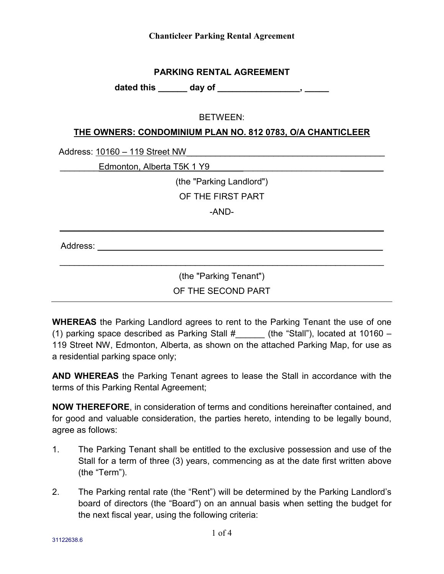### **PARKING RENTAL AGREEMENT**

**dated this \_\_\_\_\_\_ day of \_\_\_\_\_\_\_\_\_\_\_\_\_\_\_\_\_, \_\_\_\_\_**

## BETWEEN:

### **THE OWNERS: CONDOMINIUM PLAN NO. 812 0783, O/A CHANTICLEER**

Address: 10160 – 119 Street NW\_\_\_\_\_\_\_\_\_\_\_\_\_\_\_\_\_\_\_\_\_\_\_\_\_\_\_\_\_\_\_\_\_\_\_\_\_\_\_\_\_

\_\_\_\_\_\_\_\_Edmonton, Alberta T5K 1 Y9\_\_\_\_\_\_\_\_\_\_\_\_\_\_\_\_\_\_\_\_\_\_\_\_\_\_\_\_\_\_\_\_\_\_\_\_

(the "Parking Landlord")

OF THE FIRST PART

-AND-

**\_\_\_\_\_\_\_\_\_\_\_\_\_\_\_\_\_\_\_\_\_\_\_\_\_\_\_\_\_\_\_\_\_\_\_\_\_\_\_\_\_\_\_\_\_\_\_\_\_\_\_\_\_\_\_\_\_\_\_\_\_\_\_\_\_\_\_**

Address: \_\_\_\_\_\_\_\_\_\_\_\_\_\_\_\_\_\_\_\_\_\_\_\_\_\_\_\_\_\_\_\_\_\_\_\_\_\_\_\_\_\_\_\_\_\_\_\_\_\_\_\_\_\_\_\_\_\_\_

(the "Parking Tenant")

 $\mathcal{L}_\mathcal{L} = \{ \mathcal{L}_\mathcal{L} = \{ \mathcal{L}_\mathcal{L} = \{ \mathcal{L}_\mathcal{L} = \{ \mathcal{L}_\mathcal{L} = \{ \mathcal{L}_\mathcal{L} = \{ \mathcal{L}_\mathcal{L} = \{ \mathcal{L}_\mathcal{L} = \{ \mathcal{L}_\mathcal{L} = \{ \mathcal{L}_\mathcal{L} = \{ \mathcal{L}_\mathcal{L} = \{ \mathcal{L}_\mathcal{L} = \{ \mathcal{L}_\mathcal{L} = \{ \mathcal{L}_\mathcal{L} = \{ \mathcal{L}_\mathcal{$ 

OF THE SECOND PART

**WHEREAS** the Parking Landlord agrees to rent to the Parking Tenant the use of one (1) parking space described as Parking Stall  $\#$  (the "Stall"), located at 10160 – 119 Street NW, Edmonton, Alberta, as shown on the attached Parking Map, for use as a residential parking space only;

**AND WHEREAS** the Parking Tenant agrees to lease the Stall in accordance with the terms of this Parking Rental Agreement;

**NOW THEREFORE**, in consideration of terms and conditions hereinafter contained, and for good and valuable consideration, the parties hereto, intending to be legally bound, agree as follows:

- 1. The Parking Tenant shall be entitled to the exclusive possession and use of the Stall for a term of three (3) years, commencing as at the date first written above (the "Term").
- 2. The Parking rental rate (the "Rent") will be determined by the Parking Landlord's board of directors (the "Board") on an annual basis when setting the budget for the next fiscal year, using the following criteria: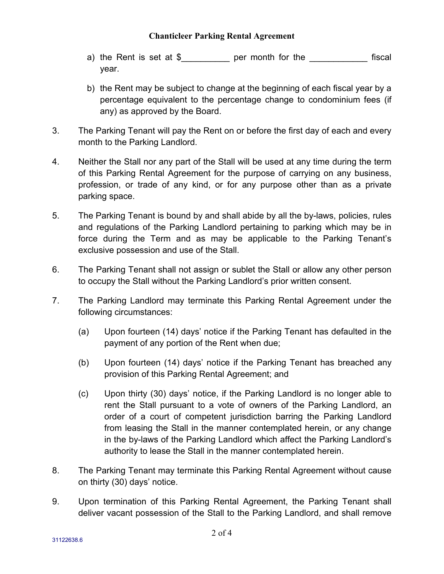- a) the Rent is set at \$ per month for the fiscal year.
- b) the Rent may be subject to change at the beginning of each fiscal year by a percentage equivalent to the percentage change to condominium fees (if any) as approved by the Board.
- 3. The Parking Tenant will pay the Rent on or before the first day of each and every month to the Parking Landlord.
- 4. Neither the Stall nor any part of the Stall will be used at any time during the term of this Parking Rental Agreement for the purpose of carrying on any business, profession, or trade of any kind, or for any purpose other than as a private parking space.
- 5. The Parking Tenant is bound by and shall abide by all the by-laws, policies, rules and regulations of the Parking Landlord pertaining to parking which may be in force during the Term and as may be applicable to the Parking Tenant's exclusive possession and use of the Stall.
- 6. The Parking Tenant shall not assign or sublet the Stall or allow any other person to occupy the Stall without the Parking Landlord's prior written consent.
- 7. The Parking Landlord may terminate this Parking Rental Agreement under the following circumstances:
	- (a) Upon fourteen (14) days' notice if the Parking Tenant has defaulted in the payment of any portion of the Rent when due;
	- (b) Upon fourteen (14) days' notice if the Parking Tenant has breached any provision of this Parking Rental Agreement; and
	- (c) Upon thirty (30) days' notice, if the Parking Landlord is no longer able to rent the Stall pursuant to a vote of owners of the Parking Landlord, an order of a court of competent jurisdiction barring the Parking Landlord from leasing the Stall in the manner contemplated herein, or any change in the by-laws of the Parking Landlord which affect the Parking Landlord's authority to lease the Stall in the manner contemplated herein.
- 8. The Parking Tenant may terminate this Parking Rental Agreement without cause on thirty (30) days' notice.
- 9. Upon termination of this Parking Rental Agreement, the Parking Tenant shall deliver vacant possession of the Stall to the Parking Landlord, and shall remove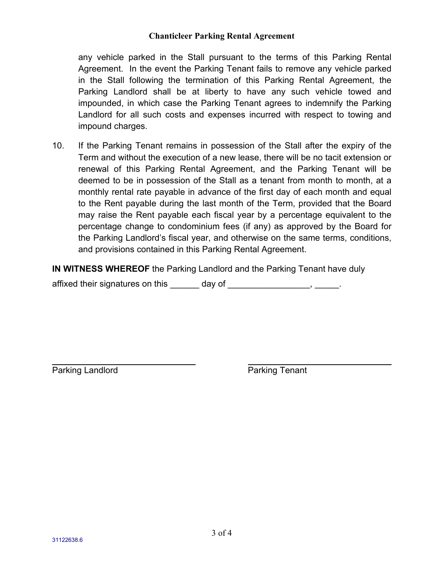any vehicle parked in the Stall pursuant to the terms of this Parking Rental Agreement. In the event the Parking Tenant fails to remove any vehicle parked in the Stall following the termination of this Parking Rental Agreement, the Parking Landlord shall be at liberty to have any such vehicle towed and impounded, in which case the Parking Tenant agrees to indemnify the Parking Landlord for all such costs and expenses incurred with respect to towing and impound charges.

10. If the Parking Tenant remains in possession of the Stall after the expiry of the Term and without the execution of a new lease, there will be no tacit extension or renewal of this Parking Rental Agreement, and the Parking Tenant will be deemed to be in possession of the Stall as a tenant from month to month, at a monthly rental rate payable in advance of the first day of each month and equal to the Rent payable during the last month of the Term, provided that the Board may raise the Rent payable each fiscal year by a percentage equivalent to the percentage change to condominium fees (if any) as approved by the Board for the Parking Landlord's fiscal year, and otherwise on the same terms, conditions, and provisions contained in this Parking Rental Agreement.

**IN WITNESS WHEREOF** the Parking Landlord and the Parking Tenant have duly

affixed their signatures on this \_\_\_\_\_\_\_ day of \_\_\_\_\_\_\_\_\_\_\_\_\_\_\_\_\_\_\_, \_\_\_\_\_\_.

Parking Landlord **Parking Tenant**